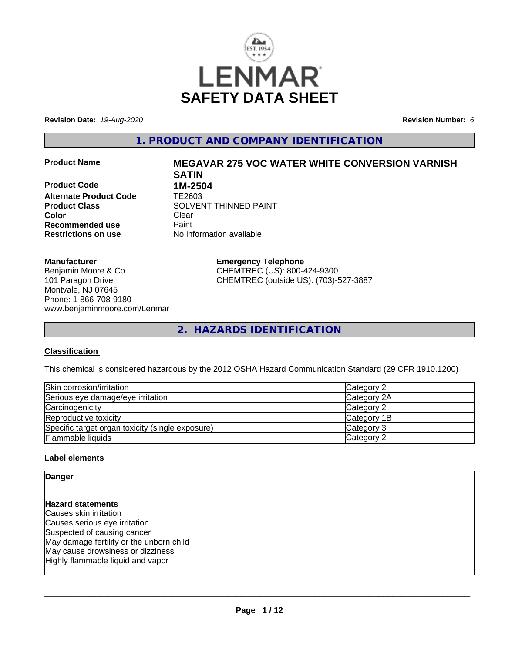

**Revision Date:** *19-Aug-2020* **Revision Number:** *6*

**1. PRODUCT AND COMPANY IDENTIFICATION**

**Product Code 1M-2504**<br>**Alternate Product Code 11 TE2603 Alternate Product Code Color** Clear Clear **Recommended use** Paint<br> **Restrictions on use** Mo information available **Restrictions on use** 

# **Product Name MEGAVAR 275 VOC WATER WHITE CONVERSION VARNISH SATIN Product Class SOLVENT THINNED PAINT**

**Manufacturer**

Benjamin Moore & Co. 101 Paragon Drive Montvale, NJ 07645 Phone: 1-866-708-9180 www.benjaminmoore.com/Lenmar **Emergency Telephone** CHEMTREC (US): 800-424-9300 CHEMTREC (outside US): (703)-527-3887

**2. HAZARDS IDENTIFICATION**

#### **Classification**

This chemical is considered hazardous by the 2012 OSHA Hazard Communication Standard (29 CFR 1910.1200)

| Skin corrosion/irritation                        | Category 2  |
|--------------------------------------------------|-------------|
| Serious eye damage/eye irritation                | Category 2A |
| Carcinogenicity                                  | Category 2  |
| Reproductive toxicity                            | Category 1B |
| Specific target organ toxicity (single exposure) | Category 3  |
| <b>Flammable liquids</b>                         | Category 2  |

#### **Label elements**

### **Danger Hazard statements** Causes skin irritation Causes serious eye irritation Suspected of causing cancer May damage fertility or the unborn child May cause drowsiness or dizziness Highly flammable liquid and vapor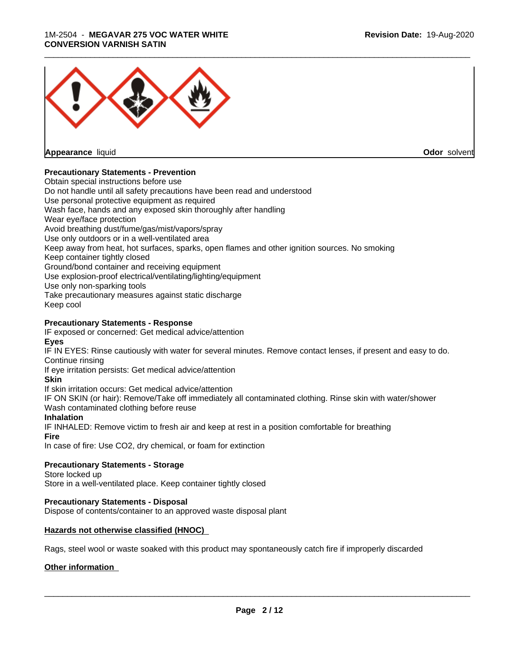#### 1M-2504 - **MEGAVAR 275 VOC WATER WHITE CONVERSION VARNISH SATIN**



**Appearance** liquid **Odor** solvent

#### **Precautionary Statements - Prevention**

Obtain special instructions before use Do not handle until all safety precautions have been read and understood Use personal protective equipment as required Wash face, hands and any exposed skin thoroughly after handling Wear eye/face protection Avoid breathing dust/fume/gas/mist/vapors/spray Use only outdoors or in a well-ventilated area Keep away from heat, hot surfaces, sparks, open flames and other ignition sources. No smoking Keep container tightly closed Ground/bond container and receiving equipment Use explosion-proof electrical/ventilating/lighting/equipment Use only non-sparking tools Take precautionary measures against static discharge Keep cool **Precautionary Statements - Response**

IF exposed or concerned: Get medical advice/attention **Eyes**

IF IN EYES: Rinse cautiously with water for several minutes. Remove contact lenses, if present and easy to do. Continue rinsing

If eye irritation persists: Get medical advice/attention

**Skin**

If skin irritation occurs: Get medical advice/attention

IF ON SKIN (or hair): Remove/Take off immediately all contaminated clothing. Rinse skin with water/shower Wash contaminated clothing before reuse

#### **Inhalation**

IF INHALED: Remove victim to fresh air and keep at rest in a position comfortable for breathing **Fire**

In case of fire: Use CO2, dry chemical, or foam for extinction

#### **Precautionary Statements - Storage**

Store locked up

Store in a well-ventilated place. Keep container tightly closed

#### **Precautionary Statements - Disposal**

Dispose of contents/container to an approved waste disposal plant

#### **Hazards not otherwise classified (HNOC)**

Rags, steel wool or waste soaked with this product may spontaneously catch fire if improperly discarded

#### **Other information**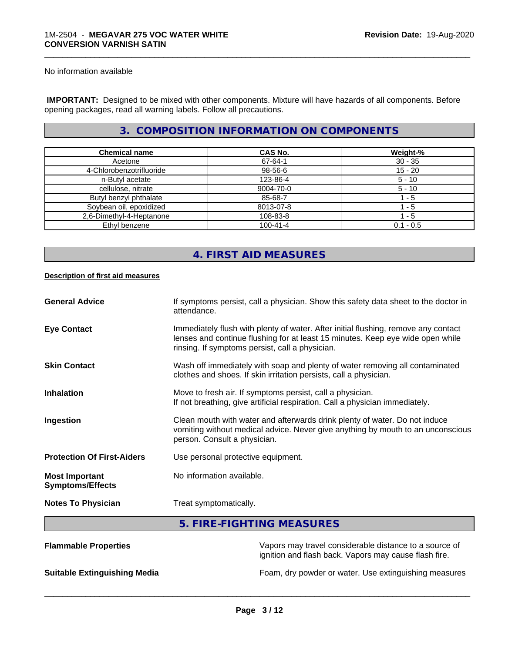No information available

 **IMPORTANT:** Designed to be mixed with other components. Mixture will have hazards of all components. Before opening packages, read all warning labels. Follow all precautions.

### **3. COMPOSITION INFORMATION ON COMPONENTS**

\_\_\_\_\_\_\_\_\_\_\_\_\_\_\_\_\_\_\_\_\_\_\_\_\_\_\_\_\_\_\_\_\_\_\_\_\_\_\_\_\_\_\_\_\_\_\_\_\_\_\_\_\_\_\_\_\_\_\_\_\_\_\_\_\_\_\_\_\_\_\_\_\_\_\_\_\_\_\_\_\_\_\_\_\_\_\_\_\_\_\_\_\_

| <b>Chemical name</b>     | CAS No.        | Weight-%    |
|--------------------------|----------------|-------------|
| Acetone                  | 67-64-1        | $30 - 35$   |
| 4-Chlorobenzotrifluoride | 98-56-6        | $15 - 20$   |
| n-Butyl acetate          | 123-86-4       | $5 - 10$    |
| cellulose, nitrate       | 9004-70-0      | $5 - 10$    |
| Butyl benzyl phthalate   | 85-68-7        | - 5         |
| Soybean oil, epoxidized  | 8013-07-8      | - 5         |
| 2,6-Dimethyl-4-Heptanone | 108-83-8       | l - 5       |
| Ethyl benzene            | $100 - 41 - 4$ | $0.1 - 0.5$ |

### **4. FIRST AID MEASURES**

#### **Description of first aid measures**

| <b>General Advice</b>                            | If symptoms persist, call a physician. Show this safety data sheet to the doctor in<br>attendance.                                                                                                                      |
|--------------------------------------------------|-------------------------------------------------------------------------------------------------------------------------------------------------------------------------------------------------------------------------|
| <b>Eye Contact</b>                               | Immediately flush with plenty of water. After initial flushing, remove any contact<br>lenses and continue flushing for at least 15 minutes. Keep eye wide open while<br>rinsing. If symptoms persist, call a physician. |
| <b>Skin Contact</b>                              | Wash off immediately with soap and plenty of water removing all contaminated<br>clothes and shoes. If skin irritation persists, call a physician.                                                                       |
| <b>Inhalation</b>                                | Move to fresh air. If symptoms persist, call a physician.<br>If not breathing, give artificial respiration. Call a physician immediately.                                                                               |
| Ingestion                                        | Clean mouth with water and afterwards drink plenty of water. Do not induce<br>vomiting without medical advice. Never give anything by mouth to an unconscious<br>person. Consult a physician.                           |
| <b>Protection Of First-Aiders</b>                | Use personal protective equipment.                                                                                                                                                                                      |
| <b>Most Important</b><br><b>Symptoms/Effects</b> | No information available.                                                                                                                                                                                               |
| <b>Notes To Physician</b>                        | Treat symptomatically.                                                                                                                                                                                                  |
|                                                  | 5. FIRE-FIGHTING MEASURES                                                                                                                                                                                               |

| <b>Flammable Properties</b>         | Vapors may travel considerable distance to a source of<br>ignition and flash back. Vapors may cause flash fire. |
|-------------------------------------|-----------------------------------------------------------------------------------------------------------------|
| <b>Suitable Extinguishing Media</b> | Foam, dry powder or water. Use extinguishing measures                                                           |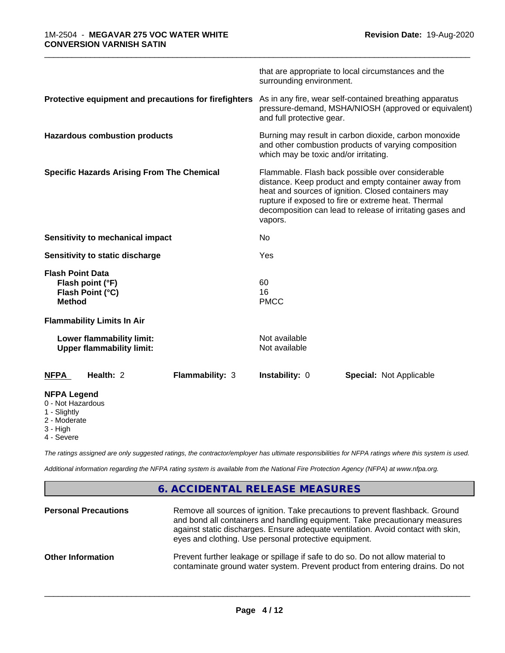|                                                                                     | that are appropriate to local circumstances and the<br>surrounding environment.                                                                                                                                                                                                                |
|-------------------------------------------------------------------------------------|------------------------------------------------------------------------------------------------------------------------------------------------------------------------------------------------------------------------------------------------------------------------------------------------|
| Protective equipment and precautions for firefighters                               | As in any fire, wear self-contained breathing apparatus<br>pressure-demand, MSHA/NIOSH (approved or equivalent)<br>and full protective gear.                                                                                                                                                   |
| <b>Hazardous combustion products</b>                                                | Burning may result in carbon dioxide, carbon monoxide<br>and other combustion products of varying composition<br>which may be toxic and/or irritating.                                                                                                                                         |
| <b>Specific Hazards Arising From The Chemical</b>                                   | Flammable. Flash back possible over considerable<br>distance. Keep product and empty container away from<br>heat and sources of ignition. Closed containers may<br>rupture if exposed to fire or extreme heat. Thermal<br>decomposition can lead to release of irritating gases and<br>vapors. |
| Sensitivity to mechanical impact                                                    | No                                                                                                                                                                                                                                                                                             |
| Sensitivity to static discharge                                                     | Yes                                                                                                                                                                                                                                                                                            |
| <b>Flash Point Data</b><br>Flash point (°F)<br>Flash Point (°C)<br><b>Method</b>    | 60<br>16<br><b>PMCC</b>                                                                                                                                                                                                                                                                        |
| <b>Flammability Limits In Air</b>                                                   |                                                                                                                                                                                                                                                                                                |
| Lower flammability limit:<br><b>Upper flammability limit:</b>                       | Not available<br>Not available                                                                                                                                                                                                                                                                 |
| Health: 2<br><b>NFPA</b><br><b>Flammability: 3</b>                                  | Instability: 0<br><b>Special: Not Applicable</b>                                                                                                                                                                                                                                               |
| <b>NFPA Legend</b><br>0 - Not Hazardous<br>1 - Slightly<br>2 - Moderate<br>3 - High |                                                                                                                                                                                                                                                                                                |

4 - Severe

*The ratings assigned are only suggested ratings, the contractor/employer has ultimate responsibilities for NFPA ratings where this system is used.*

*Additional information regarding the NFPA rating system is available from the National Fire Protection Agency (NFPA) at www.nfpa.org.*

### **6. ACCIDENTAL RELEASE MEASURES**

| <b>Personal Precautions</b> | Remove all sources of ignition. Take precautions to prevent flashback. Ground<br>and bond all containers and handling equipment. Take precautionary measures<br>against static discharges. Ensure adequate ventilation. Avoid contact with skin,<br>eyes and clothing. Use personal protective equipment. |
|-----------------------------|-----------------------------------------------------------------------------------------------------------------------------------------------------------------------------------------------------------------------------------------------------------------------------------------------------------|
| <b>Other Information</b>    | Prevent further leakage or spillage if safe to do so. Do not allow material to<br>contaminate ground water system. Prevent product from entering drains. Do not                                                                                                                                           |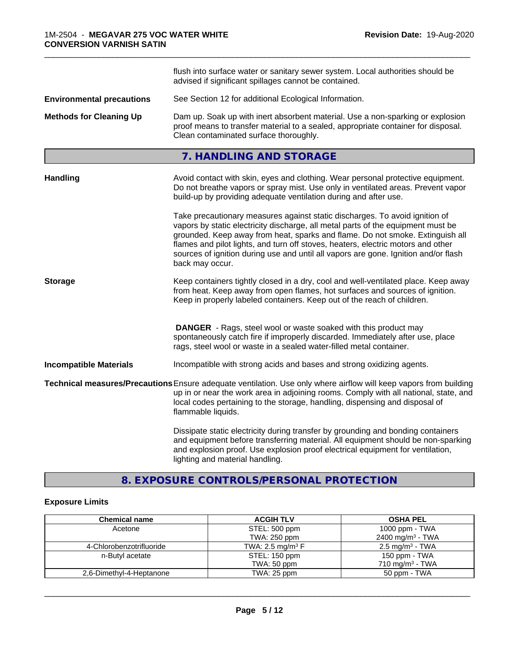|                                  | flush into surface water or sanitary sewer system. Local authorities should be<br>advised if significant spillages cannot be contained.                                                                                                                                                                                                                                                                                                        |  |
|----------------------------------|------------------------------------------------------------------------------------------------------------------------------------------------------------------------------------------------------------------------------------------------------------------------------------------------------------------------------------------------------------------------------------------------------------------------------------------------|--|
| <b>Environmental precautions</b> | See Section 12 for additional Ecological Information.                                                                                                                                                                                                                                                                                                                                                                                          |  |
| <b>Methods for Cleaning Up</b>   | Dam up. Soak up with inert absorbent material. Use a non-sparking or explosion<br>proof means to transfer material to a sealed, appropriate container for disposal.<br>Clean contaminated surface thoroughly.                                                                                                                                                                                                                                  |  |
|                                  | 7. HANDLING AND STORAGE                                                                                                                                                                                                                                                                                                                                                                                                                        |  |
| <b>Handling</b>                  | Avoid contact with skin, eyes and clothing. Wear personal protective equipment.<br>Do not breathe vapors or spray mist. Use only in ventilated areas. Prevent vapor<br>build-up by providing adequate ventilation during and after use.                                                                                                                                                                                                        |  |
|                                  | Take precautionary measures against static discharges. To avoid ignition of<br>vapors by static electricity discharge, all metal parts of the equipment must be<br>grounded. Keep away from heat, sparks and flame. Do not smoke. Extinguish all<br>flames and pilot lights, and turn off stoves, heaters, electric motors and other<br>sources of ignition during use and until all vapors are gone. Ignition and/or flash<br>back may occur. |  |
| <b>Storage</b>                   | Keep containers tightly closed in a dry, cool and well-ventilated place. Keep away<br>from heat. Keep away from open flames, hot surfaces and sources of ignition.<br>Keep in properly labeled containers. Keep out of the reach of children.                                                                                                                                                                                                  |  |
|                                  | <b>DANGER</b> - Rags, steel wool or waste soaked with this product may<br>spontaneously catch fire if improperly discarded. Immediately after use, place<br>rags, steel wool or waste in a sealed water-filled metal container.                                                                                                                                                                                                                |  |
| <b>Incompatible Materials</b>    | Incompatible with strong acids and bases and strong oxidizing agents.                                                                                                                                                                                                                                                                                                                                                                          |  |
|                                  | Technical measures/Precautions Ensure adequate ventilation. Use only where airflow will keep vapors from building<br>up in or near the work area in adjoining rooms. Comply with all national, state, and<br>local codes pertaining to the storage, handling, dispensing and disposal of<br>flammable liquids.                                                                                                                                 |  |
|                                  | Dissipate static electricity during transfer by grounding and bonding containers<br>and equipment before transferring material. All equipment should be non-sparking<br>and explosion proof. Use explosion proof electrical equipment for ventilation,<br>lighting and material handling.                                                                                                                                                      |  |

### **8. EXPOSURE CONTROLS/PERSONAL PROTECTION**

### **Exposure Limits**

| <b>Chemical name</b>     | <b>ACGIH TLV</b>               | <b>OSHA PEL</b>               |
|--------------------------|--------------------------------|-------------------------------|
| Acetone                  | STEL: 500 ppm                  | 1000 ppm - $TWA$              |
|                          | TWA: 250 ppm                   | 2400 mg/m <sup>3</sup> - TWA  |
| 4-Chlorobenzotrifluoride | TWA: 2.5 mg/m <sup>3</sup> $F$ | $2.5 \,\mathrm{mg/m^3}$ - TWA |
| n-Butyl acetate          | STEL: 150 ppm                  | 150 ppm - TWA                 |
|                          | TWA: 50 ppm                    | 710 mg/m <sup>3</sup> - TWA   |
| 2,6-Dimethyl-4-Heptanone | TWA: 25 ppm                    | 50 ppm - TWA                  |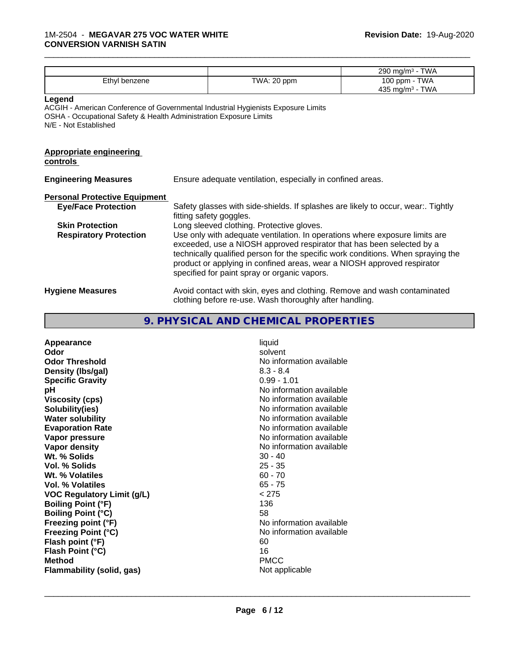|                                            |                                                                                                                                                                                                                                                                                                                                                                     | 290 mg/m <sup>3</sup> - TWA                  |
|--------------------------------------------|---------------------------------------------------------------------------------------------------------------------------------------------------------------------------------------------------------------------------------------------------------------------------------------------------------------------------------------------------------------------|----------------------------------------------|
| Ethyl benzene                              | TWA: 20 ppm                                                                                                                                                                                                                                                                                                                                                         | 100 ppm - TWA<br>435 mg/m <sup>3</sup> - TWA |
| Legend<br>N/E - Not Established            | ACGIH - American Conference of Governmental Industrial Hygienists Exposure Limits<br>OSHA - Occupational Safety & Health Administration Exposure Limits                                                                                                                                                                                                             |                                              |
| <b>Appropriate engineering</b><br>controls |                                                                                                                                                                                                                                                                                                                                                                     |                                              |
| <b>Engineering Measures</b>                | Ensure adequate ventilation, especially in confined areas.                                                                                                                                                                                                                                                                                                          |                                              |
| <b>Personal Protective Equipment</b>       |                                                                                                                                                                                                                                                                                                                                                                     |                                              |
| <b>Eye/Face Protection</b>                 | Safety glasses with side-shields. If splashes are likely to occur, wear Tightly<br>fitting safety goggles.                                                                                                                                                                                                                                                          |                                              |
| <b>Skin Protection</b>                     | Long sleeved clothing. Protective gloves.                                                                                                                                                                                                                                                                                                                           |                                              |
| <b>Respiratory Protection</b>              | Use only with adequate ventilation. In operations where exposure limits are<br>exceeded, use a NIOSH approved respirator that has been selected by a<br>technically qualified person for the specific work conditions. When spraying the<br>product or applying in confined areas, wear a NIOSH approved respirator<br>specified for paint spray or organic vapors. |                                              |
| <b>Hygiene Measures</b>                    | Avoid contact with skin, eyes and clothing. Remove and wash contaminated<br>clothing before re-use. Wash thoroughly after handling.                                                                                                                                                                                                                                 |                                              |

### **9. PHYSICAL AND CHEMICAL PROPERTIES**

| Appearance<br>Odor<br><b>Odor Threshold</b><br>Density (Ibs/gal)<br><b>Specific Gravity</b><br>рH<br><b>Viscosity (cps)</b><br>Solubility(ies)<br><b>Water solubility</b><br><b>Evaporation Rate</b><br>Vapor pressure<br>Vapor density<br>Wt. % Solids<br><b>Vol. % Solids</b><br>Wt. % Volatiles<br>Vol. % Volatiles<br><b>VOC Regulatory Limit (g/L)</b><br><b>Boiling Point (°F)</b><br><b>Boiling Point (°C)</b><br>Freezing point (°F)<br>Freezing Point (°C)<br>Flash point (°F)<br>Flash Point (°C)<br><b>Method</b><br><b>Flammability (solid, gas)</b> | solvent<br>No information available<br>$8.3 - 8.4$<br>$0.99 - 1.01$<br>No information available<br>No information available<br>No information available<br>No information available<br>No information available<br>No information available<br>No information available<br>$30 - 40$<br>$25 - 35$<br>$60 - 70$<br>$65 - 75$<br>< 275<br>136<br>58<br>No information available<br>No information available<br>60<br>16<br><b>PMCC</b><br>Not applicable |
|------------------------------------------------------------------------------------------------------------------------------------------------------------------------------------------------------------------------------------------------------------------------------------------------------------------------------------------------------------------------------------------------------------------------------------------------------------------------------------------------------------------------------------------------------------------|--------------------------------------------------------------------------------------------------------------------------------------------------------------------------------------------------------------------------------------------------------------------------------------------------------------------------------------------------------------------------------------------------------------------------------------------------------|
|------------------------------------------------------------------------------------------------------------------------------------------------------------------------------------------------------------------------------------------------------------------------------------------------------------------------------------------------------------------------------------------------------------------------------------------------------------------------------------------------------------------------------------------------------------------|--------------------------------------------------------------------------------------------------------------------------------------------------------------------------------------------------------------------------------------------------------------------------------------------------------------------------------------------------------------------------------------------------------------------------------------------------------|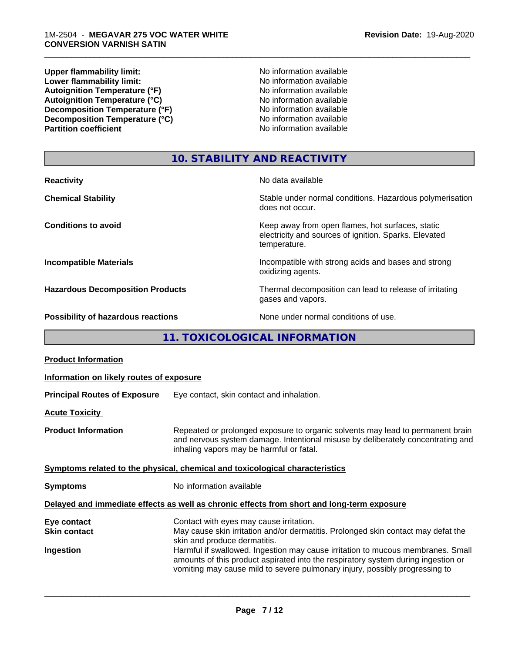**Upper flammability limit:**<br> **Lower flammability limit:** No information available<br>
No information available **Lower flammability limit:**<br> **Autoignition Temperature (°F)**<br>
Mo information available<br>
No information available Autoignition Temperature (°F)<br>
Autoignition Temperature (°C)<br>
No information available Autoignition Temperature (°C)<br>
Decomposition Temperature (°F)<br>
No information available **Decomposition Temperature (°F)**<br> **Decomposition Temperature (°C)**<br>
No information available<br>
No information available **Decomposition Temperature (°C) Partition coefficient** 

\_\_\_\_\_\_\_\_\_\_\_\_\_\_\_\_\_\_\_\_\_\_\_\_\_\_\_\_\_\_\_\_\_\_\_\_\_\_\_\_\_\_\_\_\_\_\_\_\_\_\_\_\_\_\_\_\_\_\_\_\_\_\_\_\_\_\_\_\_\_\_\_\_\_\_\_\_\_\_\_\_\_\_\_\_\_\_\_\_\_\_\_\_

### **10. STABILITY AND REACTIVITY**

| <b>Reactivity</b>                         | No data available                                                                                                         |
|-------------------------------------------|---------------------------------------------------------------------------------------------------------------------------|
| <b>Chemical Stability</b>                 | Stable under normal conditions. Hazardous polymerisation<br>does not occur.                                               |
| <b>Conditions to avoid</b>                | Keep away from open flames, hot surfaces, static<br>electricity and sources of ignition. Sparks. Elevated<br>temperature. |
| <b>Incompatible Materials</b>             | Incompatible with strong acids and bases and strong<br>oxidizing agents.                                                  |
| <b>Hazardous Decomposition Products</b>   | Thermal decomposition can lead to release of irritating<br>gases and vapors.                                              |
| <b>Possibility of hazardous reactions</b> | None under normal conditions of use.                                                                                      |

### **11. TOXICOLOGICAL INFORMATION**

| <b>Product Information</b>                      |                                                                                                                                                                                                                                                                                                                                                                                                                     |  |  |
|-------------------------------------------------|---------------------------------------------------------------------------------------------------------------------------------------------------------------------------------------------------------------------------------------------------------------------------------------------------------------------------------------------------------------------------------------------------------------------|--|--|
| Information on likely routes of exposure        |                                                                                                                                                                                                                                                                                                                                                                                                                     |  |  |
| <b>Principal Routes of Exposure</b>             | Eye contact, skin contact and inhalation.                                                                                                                                                                                                                                                                                                                                                                           |  |  |
| <b>Acute Toxicity</b>                           |                                                                                                                                                                                                                                                                                                                                                                                                                     |  |  |
| <b>Product Information</b>                      | Repeated or prolonged exposure to organic solvents may lead to permanent brain<br>and nervous system damage. Intentional misuse by deliberately concentrating and<br>inhaling vapors may be harmful or fatal.                                                                                                                                                                                                       |  |  |
|                                                 | Symptoms related to the physical, chemical and toxicological characteristics                                                                                                                                                                                                                                                                                                                                        |  |  |
| <b>Symptoms</b>                                 | No information available                                                                                                                                                                                                                                                                                                                                                                                            |  |  |
|                                                 | Delayed and immediate effects as well as chronic effects from short and long-term exposure                                                                                                                                                                                                                                                                                                                          |  |  |
| Eye contact<br><b>Skin contact</b><br>Ingestion | Contact with eyes may cause irritation.<br>May cause skin irritation and/or dermatitis. Prolonged skin contact may defat the<br>skin and produce dermatitis.<br>Harmful if swallowed. Ingestion may cause irritation to mucous membranes. Small<br>amounts of this product aspirated into the respiratory system during ingestion or<br>vomiting may cause mild to severe pulmonary injury, possibly progressing to |  |  |
|                                                 |                                                                                                                                                                                                                                                                                                                                                                                                                     |  |  |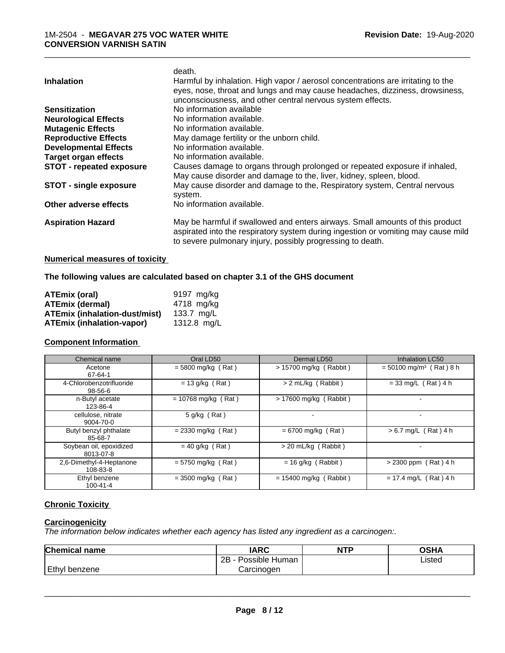|                               | death.                                                                            |
|-------------------------------|-----------------------------------------------------------------------------------|
| <b>Inhalation</b>             | Harmful by inhalation. High vapor / aerosol concentrations are irritating to the  |
|                               | eyes, nose, throat and lungs and may cause headaches, dizziness, drowsiness,      |
|                               | unconsciousness, and other central nervous system effects.                        |
| <b>Sensitization</b>          | No information available                                                          |
| <b>Neurological Effects</b>   | No information available.                                                         |
| <b>Mutagenic Effects</b>      | No information available.                                                         |
| <b>Reproductive Effects</b>   | May damage fertility or the unborn child.                                         |
| <b>Developmental Effects</b>  | No information available.                                                         |
| <b>Target organ effects</b>   | No information available.                                                         |
| STOT - repeated exposure      | Causes damage to organs through prolonged or repeated exposure if inhaled,        |
|                               | May cause disorder and damage to the, liver, kidney, spleen, blood.               |
| <b>STOT - single exposure</b> | May cause disorder and damage to the, Respiratory system, Central nervous         |
|                               | system.                                                                           |
| Other adverse effects         | No information available.                                                         |
| <b>Aspiration Hazard</b>      | May be harmful if swallowed and enters airways. Small amounts of this product     |
|                               | aspirated into the respiratory system during ingestion or vomiting may cause mild |
|                               | to severe pulmonary injury, possibly progressing to death.                        |
|                               |                                                                                   |

#### **Numerical measures of toxicity**

**The following values are calculated based on chapter 3.1 of the GHS document**

| ATEmix (oral)                        | 9197 mg/kg    |
|--------------------------------------|---------------|
| <b>ATEmix (dermal)</b>               | 4718 mg/kg    |
| <b>ATEmix (inhalation-dust/mist)</b> | 133.7 ma/L    |
| <b>ATEmix (inhalation-vapor)</b>     | 1312.8 $ma/L$ |

### **Component Information**

| Chemical name                        | Oral LD50             | Dermal LD50              | Inhalation LC50                       |
|--------------------------------------|-----------------------|--------------------------|---------------------------------------|
| Acetone<br>67-64-1                   | $= 5800$ mg/kg (Rat)  | > 15700 mg/kg (Rabbit)   | $=$ 50100 mg/m <sup>3</sup> (Rat) 8 h |
| 4-Chlorobenzotrifluoride<br>98-56-6  | $= 13$ g/kg (Rat)     | > 2 mL/kg (Rabbit)       | $= 33$ mg/L (Rat) 4 h                 |
| n-Butyl acetate<br>123-86-4          | $= 10768$ mg/kg (Rat) | $> 17600$ mg/kg (Rabbit) |                                       |
| cellulose, nitrate<br>9004-70-0      | $5$ g/kg (Rat)        |                          |                                       |
| Butyl benzyl phthalate<br>85-68-7    | $= 2330$ mg/kg (Rat)  | $= 6700$ mg/kg (Rat)     | $> 6.7$ mg/L (Rat) 4 h                |
| Soybean oil, epoxidized<br>8013-07-8 | $= 40$ g/kg (Rat)     | $>$ 20 mL/kg (Rabbit)    |                                       |
| 2.6-Dimethyl-4-Heptanone<br>108-83-8 | $= 5750$ mg/kg (Rat)  | $= 16$ g/kg (Rabbit)     | $> 2300$ ppm (Rat) 4 h                |
| Ethyl benzene<br>$100 - 41 - 4$      | $= 3500$ mg/kg (Rat)  | $= 15400$ mg/kg (Rabbit) | $= 17.4$ mg/L (Rat) 4 h               |

### **Chronic Toxicity**

### **Carcinogenicity**

*The information below indicateswhether each agency has listed any ingredient as a carcinogen:.*

| <b>Chemical name</b> | <b>IARC</b>          | <b>NTP</b> | OSHA   |
|----------------------|----------------------|------------|--------|
|                      | Possible Human<br>2Β |            | Listed |
| Ethyl benzene        | Carcinoɑen           |            |        |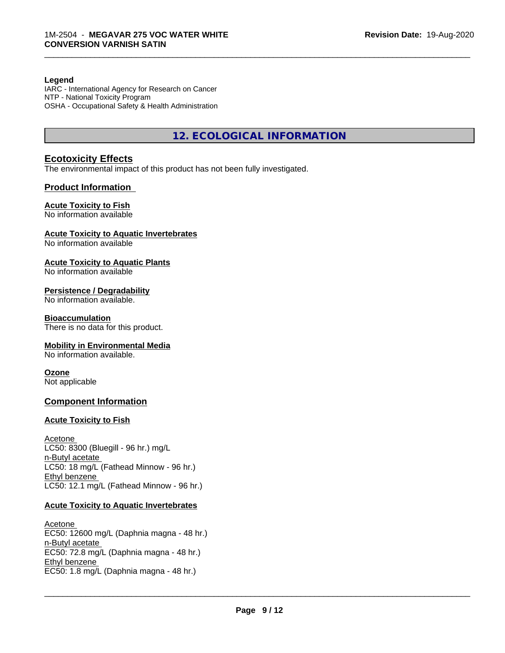#### **Legend**

IARC - International Agency for Research on Cancer NTP - National Toxicity Program OSHA - Occupational Safety & Health Administration

**12. ECOLOGICAL INFORMATION**

\_\_\_\_\_\_\_\_\_\_\_\_\_\_\_\_\_\_\_\_\_\_\_\_\_\_\_\_\_\_\_\_\_\_\_\_\_\_\_\_\_\_\_\_\_\_\_\_\_\_\_\_\_\_\_\_\_\_\_\_\_\_\_\_\_\_\_\_\_\_\_\_\_\_\_\_\_\_\_\_\_\_\_\_\_\_\_\_\_\_\_\_\_

#### **Ecotoxicity Effects**

The environmental impact of this product has not been fully investigated.

#### **Product Information**

#### **Acute Toxicity to Fish**

No information available

#### **Acute Toxicity to Aquatic Invertebrates**

No information available

#### **Acute Toxicity to Aquatic Plants**

No information available

#### **Persistence / Degradability**

No information available.

#### **Bioaccumulation**

There is no data for this product.

#### **Mobility in Environmental Media**

No information available.

#### **Ozone**

Not applicable

#### **Component Information**

#### **Acute Toxicity to Fish**

Acetone LC50: 8300 (Bluegill - 96 hr.) mg/L n-Butyl acetate LC50: 18 mg/L (Fathead Minnow - 96 hr.) Ethyl benzene LC50: 12.1 mg/L (Fathead Minnow - 96 hr.)

#### **Acute Toxicity to Aquatic Invertebrates**

Acetone EC50: 12600 mg/L (Daphnia magna - 48 hr.) n-Butyl acetate EC50: 72.8 mg/L (Daphnia magna - 48 hr.) Ethyl benzene \_\_\_\_\_\_\_\_\_\_\_\_\_\_\_\_\_\_\_\_\_\_\_\_\_\_\_\_\_\_\_\_\_\_\_\_\_\_\_\_\_\_\_\_\_\_\_\_\_\_\_\_\_\_\_\_\_\_\_\_\_\_\_\_\_\_\_\_\_\_\_\_\_\_\_\_\_\_\_\_\_\_\_\_\_\_\_\_\_\_\_\_\_ EC50: 1.8 mg/L (Daphnia magna - 48 hr.)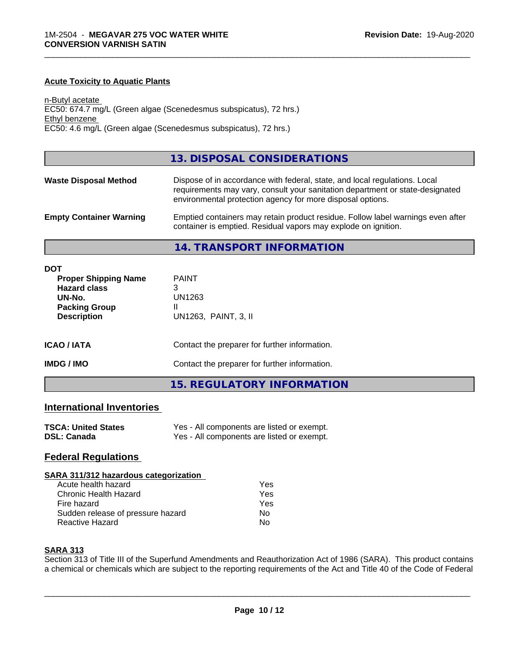#### **Acute Toxicity to Aquatic Plants**

n-Butyl acetate EC50: 674.7 mg/L (Green algae (Scenedesmus subspicatus), 72 hrs.) Ethyl benzene EC50: 4.6 mg/L (Green algae (Scenedesmus subspicatus), 72 hrs.)

#### **13. DISPOSAL CONSIDERATIONS**

\_\_\_\_\_\_\_\_\_\_\_\_\_\_\_\_\_\_\_\_\_\_\_\_\_\_\_\_\_\_\_\_\_\_\_\_\_\_\_\_\_\_\_\_\_\_\_\_\_\_\_\_\_\_\_\_\_\_\_\_\_\_\_\_\_\_\_\_\_\_\_\_\_\_\_\_\_\_\_\_\_\_\_\_\_\_\_\_\_\_\_\_\_

| <b>Waste Disposal Method</b>   | Dispose of in accordance with federal, state, and local regulations. Local<br>requirements may vary, consult your sanitation department or state-designated<br>environmental protection agency for more disposal options. |
|--------------------------------|---------------------------------------------------------------------------------------------------------------------------------------------------------------------------------------------------------------------------|
| <b>Empty Container Warning</b> | Emptied containers may retain product residue. Follow label warnings even after<br>container is emptied. Residual vapors may explode on ignition.                                                                         |

**14. TRANSPORT INFORMATION**

| DOT<br><b>Proper Shipping Name</b><br><b>Hazard class</b><br>UN-No.<br><b>Packing Group</b><br><b>Description</b> | <b>PAINT</b><br>3<br>UN1263<br>Ш<br>UN1263, PAINT, 3, II |
|-------------------------------------------------------------------------------------------------------------------|----------------------------------------------------------|
| <b>ICAO/IATA</b>                                                                                                  | Contact the preparer for further information.            |
| <b>IMDG/IMO</b>                                                                                                   | Contact the preparer for further information.            |

### **15. REGULATORY INFORMATION**

### **International Inventories**

| <b>TSCA: United States</b> | Yes - All components are listed or exempt. |
|----------------------------|--------------------------------------------|
| <b>DSL: Canada</b>         | Yes - All components are listed or exempt. |

#### **Federal Regulations**

#### **SARA 311/312 hazardous categorization**

| Acute health hazard               | Yes |  |
|-----------------------------------|-----|--|
| Chronic Health Hazard             | Yes |  |
| Fire hazard                       | Yes |  |
| Sudden release of pressure hazard | N٥  |  |
| Reactive Hazard                   | N٥  |  |

#### **SARA 313**

Section 313 of Title III of the Superfund Amendments and Reauthorization Act of 1986 (SARA). This product contains a chemical or chemicals which are subject to the reporting requirements of the Act and Title 40 of the Code of Federal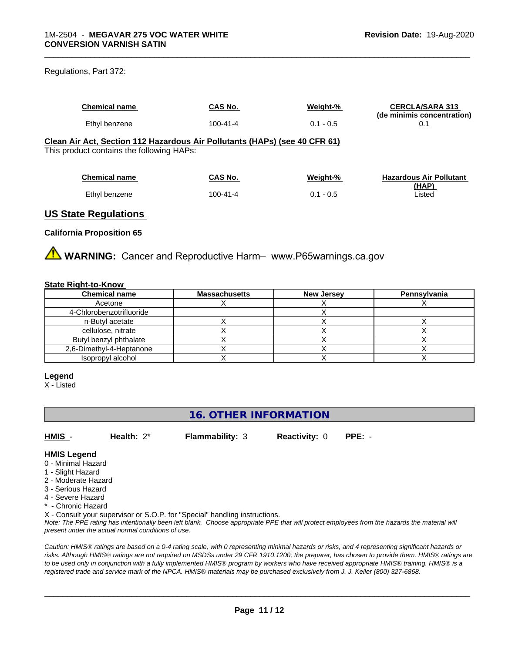#### Regulations, Part 372:

| <b>Chemical name</b>                                                                                                                                                                                                                                                                                                               | CAS No.        | Weight-%    | <b>CERCLA/SARA 313</b><br>(de minimis concentration) |
|------------------------------------------------------------------------------------------------------------------------------------------------------------------------------------------------------------------------------------------------------------------------------------------------------------------------------------|----------------|-------------|------------------------------------------------------|
| Ethyl benzene                                                                                                                                                                                                                                                                                                                      | $100 - 41 - 4$ | $0.1 - 0.5$ | 0.1                                                  |
| Clean Air Act, Section 112 Hazardous Air Pollutants (HAPs) (see 40 CFR 61)<br>This product contains the following HAPs:                                                                                                                                                                                                            |                |             |                                                      |
| <b>Chemical name</b>                                                                                                                                                                                                                                                                                                               | CAS No.        | Weight-%    | <b>Hazardous Air Pollutant</b>                       |
| Ethyl benzene                                                                                                                                                                                                                                                                                                                      | $100 - 41 - 4$ | $0.1 - 0.5$ | <u>(HAP)</u><br>Listed                               |
| $\mathbf{H}$ $\mathbf{A}$ $\mathbf{A}$ $\mathbf{A}$ $\mathbf{B}$ $\mathbf{A}$ $\mathbf{A}$ $\mathbf{A}$ $\mathbf{A}$ $\mathbf{A}$ $\mathbf{A}$ $\mathbf{A}$ $\mathbf{A}$ $\mathbf{A}$ $\mathbf{A}$ $\mathbf{A}$ $\mathbf{A}$ $\mathbf{A}$ $\mathbf{A}$ $\mathbf{A}$ $\mathbf{A}$ $\mathbf{A}$ $\mathbf{A}$ $\mathbf{A}$ $\mathbf{$ |                |             |                                                      |

## **US State Regulations**

#### **California Proposition 65**

**AVIMARNING:** Cancer and Reproductive Harm– www.P65warnings.ca.gov

#### **State Right-to-Know**

| <b>Chemical name</b>     | <b>Massachusetts</b> | <b>New Jersey</b> | Pennsylvania |
|--------------------------|----------------------|-------------------|--------------|
| Acetone                  |                      |                   |              |
| 4-Chlorobenzotrifluoride |                      |                   |              |
| n-Butyl acetate          |                      |                   |              |
| cellulose, nitrate       |                      |                   |              |
| Butyl benzyl phthalate   |                      |                   |              |
| 2,6-Dimethyl-4-Heptanone |                      |                   |              |
| Isopropyl alcohol        |                      |                   |              |

#### **Legend**

X - Listed

### **16. OTHER INFORMATION**

**HMIS** - **Health:** 2\* **Flammability:** 3 **Reactivity:** 0 **PPE:** -

#### **HMIS Legend**

- 0 Minimal Hazard
- 1 Slight Hazard
- 2 Moderate Hazard
- 3 Serious Hazard
- 4 Severe Hazard
- \* Chronic Hazard

X - Consult your supervisor or S.O.P. for "Special" handling instructions.

*Note: The PPE rating has intentionally been left blank. Choose appropriate PPE that will protect employees from the hazards the material will present under the actual normal conditions of use.*

*Caution: HMISÒ ratings are based on a 0-4 rating scale, with 0 representing minimal hazards or risks, and 4 representing significant hazards or risks. Although HMISÒ ratings are not required on MSDSs under 29 CFR 1910.1200, the preparer, has chosen to provide them. HMISÒ ratings are to be used only in conjunction with a fully implemented HMISÒ program by workers who have received appropriate HMISÒ training. HMISÒ is a registered trade and service mark of the NPCA. HMISÒ materials may be purchased exclusively from J. J. Keller (800) 327-6868.*